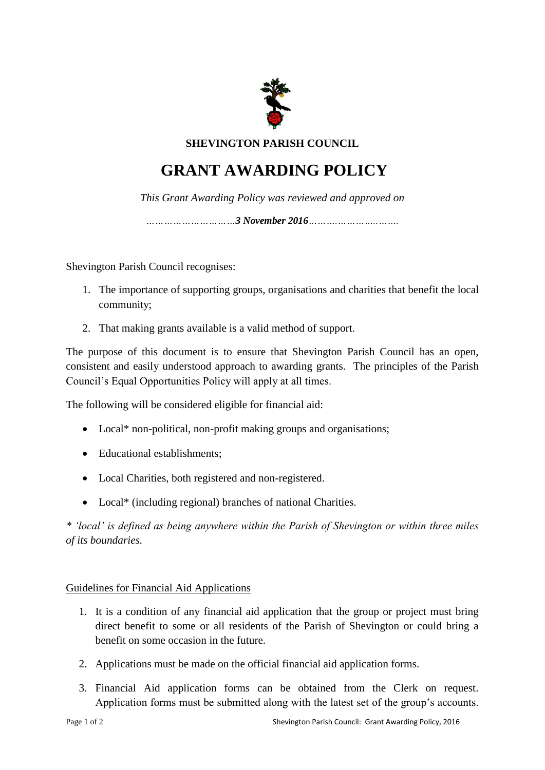

**SHEVINGTON PARISH COUNCIL**

## **GRANT AWARDING POLICY**

*This Grant Awarding Policy was reviewed and approved on*

*…………………………3 November 2016……….…………..…….*

Shevington Parish Council recognises:

- 1. The importance of supporting groups, organisations and charities that benefit the local community;
- 2. That making grants available is a valid method of support.

The purpose of this document is to ensure that Shevington Parish Council has an open, consistent and easily understood approach to awarding grants. The principles of the Parish Council's Equal Opportunities Policy will apply at all times.

The following will be considered eligible for financial aid:

- Local\* non-political, non-profit making groups and organisations;
- Educational establishments:
- Local Charities, both registered and non-registered.
- Local\* (including regional) branches of national Charities.

*\* 'local' is defined as being anywhere within the Parish of Shevington or within three miles of its boundaries.*

## Guidelines for Financial Aid Applications

- 1. It is a condition of any financial aid application that the group or project must bring direct benefit to some or all residents of the Parish of Shevington or could bring a benefit on some occasion in the future.
- 2. Applications must be made on the official financial aid application forms.
- 3. Financial Aid application forms can be obtained from the Clerk on request. Application forms must be submitted along with the latest set of the group's accounts.